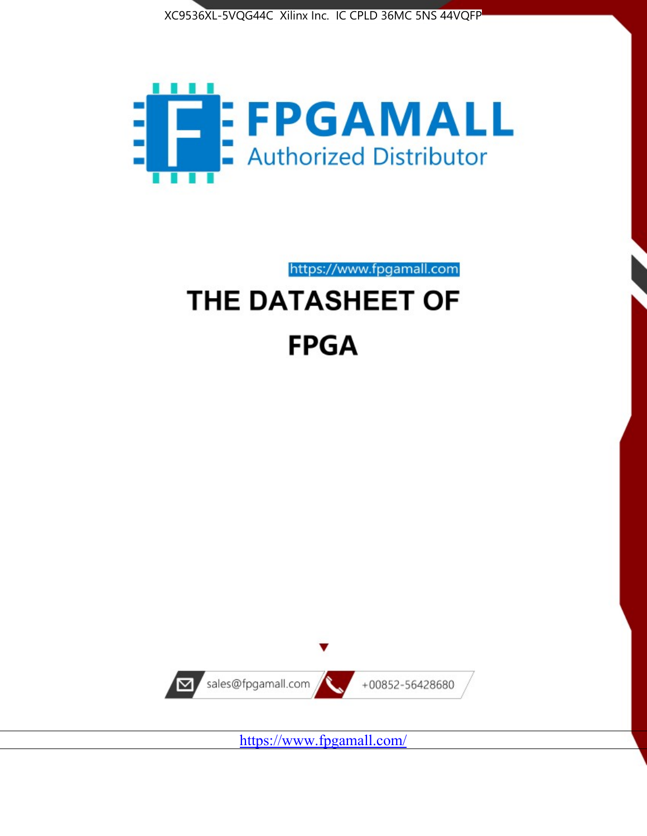



https://www.fpgamall.com

## THE DATASHEET OF **FPGA**



https://www.fpgamall.com/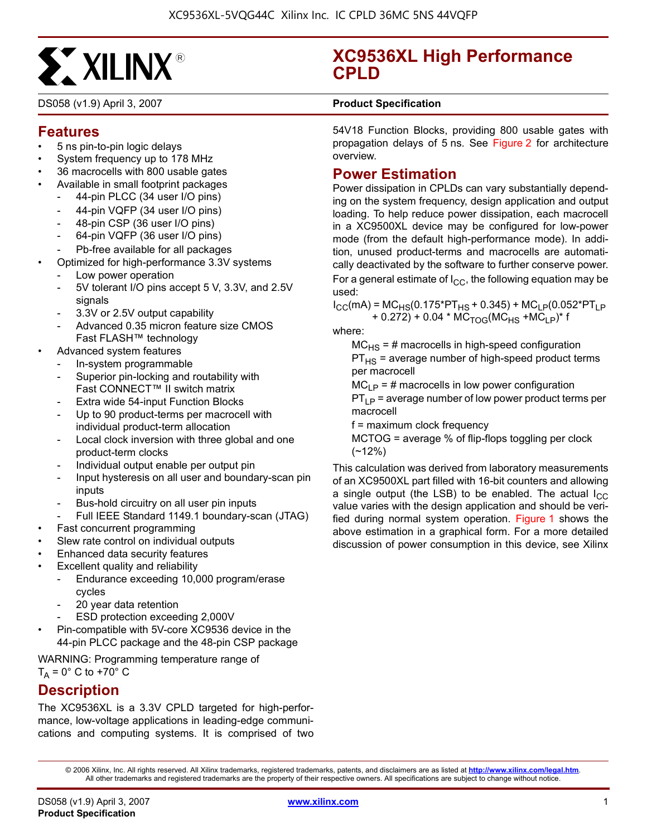# **EXALINX®**

DS058 (v1.9) April 3, 2007 **0 0 Product Specification**

### **Features**

- 5 ns pin-to-pin logic delays
- System frequency up to 178 MHz
- 36 macrocells with 800 usable gates
- Available in small footprint packages
	- 44-pin PLCC (34 user I/O pins)
	- 44-pin VQFP (34 user I/O pins)
	- 48-pin CSP (36 user I/O pins)
	- 64-pin VQFP (36 user I/O pins)
	- Pb-free available for all packages
	- Optimized for high-performance 3.3V systems
		- Low power operation
		- 5V tolerant I/O pins accept 5 V, 3.3V, and 2.5V signals
		- 3.3V or 2.5V output capability
		- Advanced 0.35 micron feature size CMOS Fast FLASH™ technology
- Advanced system features
	- In-system programmable
		- Superior pin-locking and routability with Fast CONNECT™ II switch matrix
		- Extra wide 54-input Function Blocks
		- Up to 90 product-terms per macrocell with individual product-term allocation
		- Local clock inversion with three global and one product-term clocks
		- Individual output enable per output pin
		- Input hysteresis on all user and boundary-scan pin inputs
		- Bus-hold circuitry on all user pin inputs
	- Full IEEE Standard 1149.1 boundary-scan (JTAG)
- Fast concurrent programming
- Slew rate control on individual outputs
- Enhanced data security features
- Excellent quality and reliability
	- Endurance exceeding 10,000 program/erase cycles
	- 20 year data retention
	- ESD protection exceeding 2,000V
- Pin-compatible with 5V-core XC9536 device in the 44-pin PLCC package and the 48-pin CSP package

WARNING: Programming temperature range of  $T_A = 0^\circ$  C to +70° C

### **Description**

The XC9536XL is a 3.3V CPLD targeted for high-performance, low-voltage applications in leading-edge communications and computing systems. It is comprised of two

### **XC9536XL High Performance CPLD**

54V18 Function Blocks, providing 800 usable gates with propagation delays of 5 ns. See Figure 2 for architecture overview.

#### **Power Estimation**

Power dissipation in CPLDs can vary substantially depending on the system frequency, design application and output loading. To help reduce power dissipation, each macrocell in a XC9500XL device may be configured for low-power mode (from the default high-performance mode). In addition, unused product-terms and macrocells are automatically deactivated by the software to further conserve power. For a general estimate of  $I_{CC}$ , the following equation may be used:

 $I_{CC}(mA) = MC_{HS}(0.175*PT_{HS} + 0.345) + MC_{LP}(0.052*PT_{LP}$ + 0.272) + 0.04 \*  $\overline{MC}_{TOG}$ ( $\overline{MC}_{HS}$  + $\overline{MC}_{LP}$ )\* f

where:

 $MC_{HS}$  = # macrocells in high-speed configuration  $PT_{HS}$  = average number of high-speed product terms per macrocell

 $MC<sub>LP</sub> = # macrocells in low power configuration$ 

 $PT_{LP}$  = average number of low power product terms per macrocell

f = maximum clock frequency

MCTOG = average % of flip-flops toggling per clock (~12%)

This calculation was derived from laboratory measurements of an XC9500XL part filled with 16-bit counters and allowing a single output (the LSB) to be enabled. The actual  $I_{CC}$ value varies with the design application and should be verified during normal system operation. Figure 1 shows the above estimation in a graphical form. For a more detailed discussion of power consumption in this device, see Xilinx

<sup>© 2006</sup> Xilinx, Inc. All rights reserved. All Xilinx trademarks, registered trademarks, patents, and disclaimers are as listed at **<http://www.xilinx.com/legal.htm>**. All other trademarks and registered trademarks are the property of their respective owners. All specifications are subject to change without notice.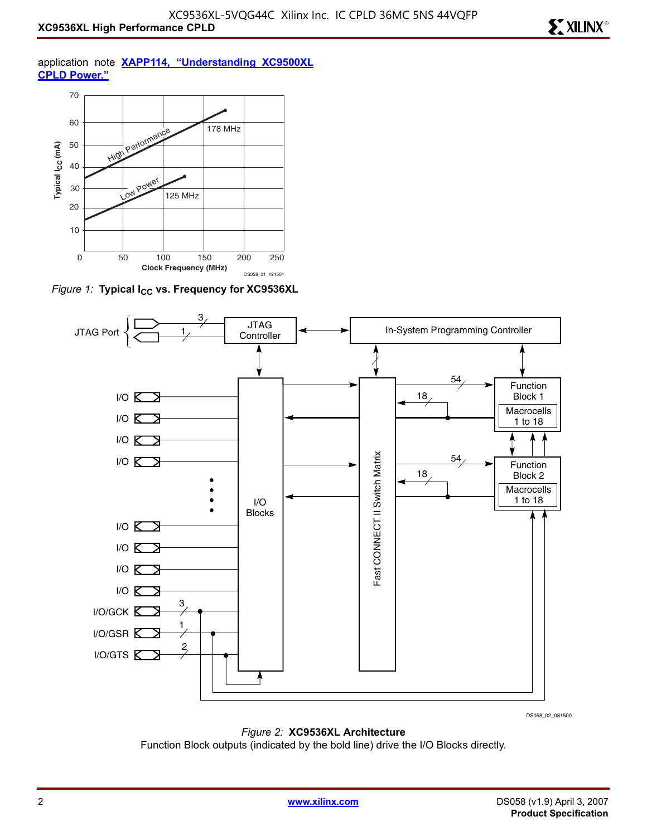application note **[XAPP114, "Understanding XC9500XL](http://direct.xilinx.com/bvdocs/appnotes/xapp114.pdf) [CPLD Power."](http://direct.xilinx.com/bvdocs/appnotes/xapp114.pdf)**



*Figure 1:* Typical I<sub>CC</sub> vs. Frequency for XC9536XL



DS058\_02\_081500

*Figure 2:* **XC9536XL Architecture**  Function Block outputs (indicated by the bold line) drive the I/O Blocks directly.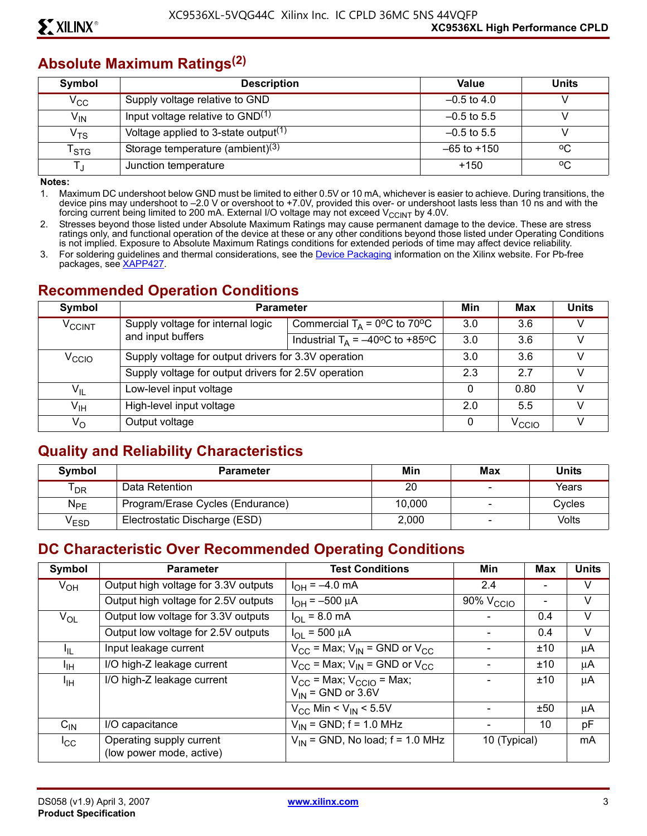#### **Absolute Maximum Ratings(2)**

| Symbol                     | <b>Description</b>                               | Value           | <b>Units</b> |
|----------------------------|--------------------------------------------------|-----------------|--------------|
| $V_{\rm CC}$               | Supply voltage relative to GND                   | $-0.5$ to 4.0   |              |
| $V_{IN}$                   | Input voltage relative to GND <sup>(1)</sup>     | $-0.5$ to 5.5   |              |
| $\mathsf{V}_{\mathsf{TS}}$ | Voltage applied to 3-state output <sup>(1)</sup> | $-0.5$ to 5.5   |              |
| $\mathsf{T}_{\text{STG}}$  | Storage temperature (ambient) <sup>(3)</sup>     | $-65$ to $+150$ | °C           |
|                            | Junction temperature                             | $+150$          | ∘c           |

**Notes:** 

1. Maximum DC undershoot below GND must be limited to either 0.5V or 10 mA, whichever is easier to achieve. During transitions, the device pins may undershoot to –2.0 V or overshoot to +7.0V, provided this over- or undershoot lasts less than 10 ns and with the forcing current being limited to 200 mA. External I/O voltage may not exceed V $_{\rm CCINT}$  by 4.0V.

2. Stresses beyond those listed under Absolute Maximum Ratings may cause permanent damage to the device. These are stress ratings only, and functional operation of the device at these or any other conditions beyond those listed under Operating Conditions is not implied. Exposure to Absolute Maximum Ratings conditions for extended periods of time may affect device reliability.

3. For soldering guidelines and thermal considerations, see the [Device Packaging](http://www.xilinx.com/xlnx/xweb/xil_publications_index.jsp?category=Package+Drawings) information on the Xilinx website. For Pb-free packages, see [XAPP427](http://direct.xilinx.com/bvdocs/appnotes/xapp427.pdf).

#### **Recommended Operation Conditions**

| Symbol                   | <b>Parameter</b>                                                                                                                                   | Min | Max | <b>Units</b>        |  |
|--------------------------|----------------------------------------------------------------------------------------------------------------------------------------------------|-----|-----|---------------------|--|
| <b>V<sub>CCINT</sub></b> | Commercial $T_A = 0$ <sup>o</sup> C to 70 <sup>o</sup> C<br>Supply voltage for internal logic<br>Industrial $T_A = -40^{\circ}C$ to $+85^{\circ}C$ |     | 3.0 | 3.6                 |  |
|                          | and input buffers                                                                                                                                  | 3.0 | 3.6 |                     |  |
| V <sub>CCIO</sub>        | Supply voltage for output drivers for 3.3V operation                                                                                               | 3.0 | 3.6 |                     |  |
|                          | Supply voltage for output drivers for 2.5V operation                                                                                               | 2.3 | 2.7 |                     |  |
| $V_{IL}$                 | Low-level input voltage                                                                                                                            |     | 0   | 0.80                |  |
| $V_{\text{IH}}$          | High-level input voltage                                                                                                                           | 2.0 | 5.5 |                     |  |
| $V_{\rm O}$              | Output voltage                                                                                                                                     |     | 0   | $\rm v_{\rm cc}$ io |  |

#### **Quality and Reliability Characteristics**

| Symbol           | <b>Parameter</b>                 | Min    | Max | <b>Units</b> |
|------------------|----------------------------------|--------|-----|--------------|
| DR <sup>I</sup>  | Data Retention                   | 20     |     | Years        |
| $N_{PE}$         | Program/Erase Cycles (Endurance) | 10.000 |     | Cycles       |
| <sup>V</sup> ESD | Electrostatic Discharge (ESD)    | 2.000  |     | Volts        |

#### **DC Characteristic Over Recommended Operating Conditions**

| Symbol          | <b>Parameter</b>                                     | <b>Test Conditions</b>                                      | Min                   | <b>Max</b> | <b>Units</b> |
|-----------------|------------------------------------------------------|-------------------------------------------------------------|-----------------------|------------|--------------|
| $V_{OH}$        | Output high voltage for 3.3V outputs                 | $I_{OH} = -4.0$ mA                                          | 2.4                   |            | V            |
|                 | Output high voltage for 2.5V outputs                 | $I_{OH} = -500 \mu A$                                       | 90% V <sub>CCIO</sub> |            | V            |
| $V_{OL}$        | Output low voltage for 3.3V outputs                  | $I_{OL}$ = 8.0 mA                                           |                       | 0.4        | V            |
|                 | Output low voltage for 2.5V outputs                  | $I_{OL}$ = 500 $\mu$ A                                      |                       | 0.4        | V            |
| ЧĿ              | Input leakage current                                | $V_{CC}$ = Max; $V_{IN}$ = GND or $V_{CC}$                  |                       | ±10        | μA           |
| $I_{\text{IH}}$ | I/O high-Z leakage current                           | $V_{CC}$ = Max; $V_{IN}$ = GND or $V_{CC}$                  |                       | ±10        | μA           |
| ŀщ              | I/O high-Z leakage current                           | $V_{CC}$ = Max; $V_{CCIO}$ = Max;<br>$V_{IN}$ = GND or 3.6V |                       | ±10        | μA           |
|                 |                                                      | $V_{\rm CC}$ Min < $V_{\rm IN}$ < 5.5V                      |                       | ±50        | μA           |
| $C_{\text{IN}}$ | I/O capacitance                                      | $V_{IN}$ = GND; $f = 1.0$ MHz                               |                       | 10         | pF           |
| $I_{\rm CC}$    | Operating supply current<br>(low power mode, active) | $V_{IN}$ = GND, No load; f = 1.0 MHz                        | 10 (Typical)          |            | mA           |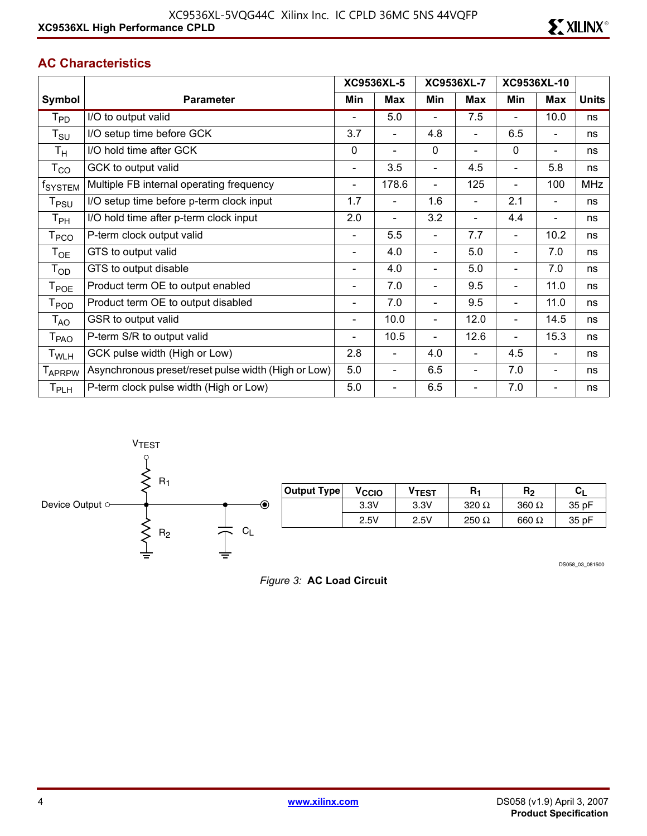#### **AC Characteristics**

|                             |                                                     | XC9536XL-5                   |                          | XC9536XL-7                   |                              | XC9536XL-10              |                          |              |
|-----------------------------|-----------------------------------------------------|------------------------------|--------------------------|------------------------------|------------------------------|--------------------------|--------------------------|--------------|
| Symbol                      | <b>Parameter</b>                                    | Min                          | Max                      | Min                          | Max                          | Min                      | <b>Max</b>               | <b>Units</b> |
| ${\mathsf T}_{\mathsf{PD}}$ | I/O to output valid                                 | $\blacksquare$               | 5.0                      | $\overline{\phantom{0}}$     | 7.5                          | $\overline{\phantom{a}}$ | 10.0                     | ns           |
| $\mathsf{T}_{\mathsf{SU}}$  | I/O setup time before GCK                           | 3.7                          | $\overline{\phantom{a}}$ | 4.8                          | $\qquad \qquad \blacksquare$ | 6.5                      | $\blacksquare$           | ns           |
| Tн                          | I/O hold time after GCK                             | $\mathbf 0$                  |                          | $\mathbf 0$                  | $\overline{\phantom{0}}$     | 0                        | $\overline{\phantom{a}}$ | ns           |
| $\mathsf{T}_{\mathsf{CO}}$  | GCK to output valid                                 | $\overline{\phantom{a}}$     | 3.5                      | $\overline{\phantom{0}}$     | 4.5                          | $\blacksquare$           | 5.8                      | ns           |
| f <sub>SYSTEM</sub>         | Multiple FB internal operating frequency            | Ξ.                           | 178.6                    | $\overline{\phantom{0}}$     | 125                          | $\blacksquare$           | 100                      | <b>MHz</b>   |
| $T_{PSU}$                   | I/O setup time before p-term clock input            | 1.7                          |                          | 1.6                          | $\overline{\phantom{0}}$     | 2.1                      |                          | ns           |
| $T_{PH}$                    | I/O hold time after p-term clock input              | 2.0                          |                          | 3.2                          | $\overline{\phantom{0}}$     | 4.4                      | $\blacksquare$           | ns           |
| T <sub>PCO</sub>            | P-term clock output valid                           | $\qquad \qquad \blacksquare$ | 5.5                      |                              | 7.7                          | $\overline{\phantom{a}}$ | 10.2                     | ns           |
| $T_{OE}$                    | GTS to output valid                                 | $\overline{\phantom{0}}$     | 4.0                      | $\overline{\phantom{0}}$     | 5.0                          | $\blacksquare$           | 7.0                      | ns           |
| $T_{OD}$                    | GTS to output disable                               | -                            | 4.0                      | $\overline{\phantom{0}}$     | 5.0                          | $\blacksquare$           | 7.0                      | ns           |
| $T_{\mathsf{POE}}$          | Product term OE to output enabled                   | $\qquad \qquad \blacksquare$ | 7.0                      | $\qquad \qquad \blacksquare$ | 9.5                          | $\overline{\phantom{a}}$ | 11.0                     | ns           |
| $T_{\mathsf{POD}}$          | Product term OE to output disabled                  | -                            | 7.0                      | $\overline{\phantom{0}}$     | 9.5                          | $\blacksquare$           | 11.0                     | ns           |
| $T_{AO}$                    | GSR to output valid                                 | $\overline{\phantom{0}}$     | 10.0                     | $\overline{\phantom{0}}$     | 12.0                         | $\overline{\phantom{a}}$ | 14.5                     | ns           |
| $\mathsf{T}_{\mathsf{PAO}}$ | P-term S/R to output valid                          | $\overline{\phantom{a}}$     | 10.5                     | Ξ.                           | 12.6                         | $\overline{\phantom{a}}$ | 15.3                     | ns           |
| $\mathsf{T}_{\mathsf{WLH}}$ | GCK pulse width (High or Low)                       | 2.8                          | $\overline{\phantom{a}}$ | 4.0                          | $\qquad \qquad \blacksquare$ | 4.5                      | $\overline{\phantom{a}}$ | ns           |
| T <sub>APRPW</sub>          | Asynchronous preset/reset pulse width (High or Low) | 5.0                          | $\overline{\phantom{a}}$ | 6.5                          | $\overline{\phantom{0}}$     | 7.0                      | $\overline{\phantom{a}}$ | ns           |
| $\mathsf{T}_{\mathsf{PLH}}$ | P-term clock pulse width (High or Low)              | 5.0                          | $\overline{\phantom{a}}$ | 6.5                          | $\overline{\phantom{0}}$     | 7.0                      | $\overline{\phantom{a}}$ | ns           |



| Output Type | V <sub>CCIO</sub> | $\mathsf{v}_{\texttt{TEST}}$ | R۱           | R2           | $\mathbf{c}_{\mathsf{L}}$ |
|-------------|-------------------|------------------------------|--------------|--------------|---------------------------|
|             | 3.3V              | 3.3V                         | 320 $\Omega$ | 360 $\Omega$ | 35 pF                     |
|             | 2.5V              | 2.5V                         | 250 $\Omega$ | 660 $\Omega$ | 35 pF                     |

*Figure 3:* **AC Load Circuit**

DS058\_03\_081500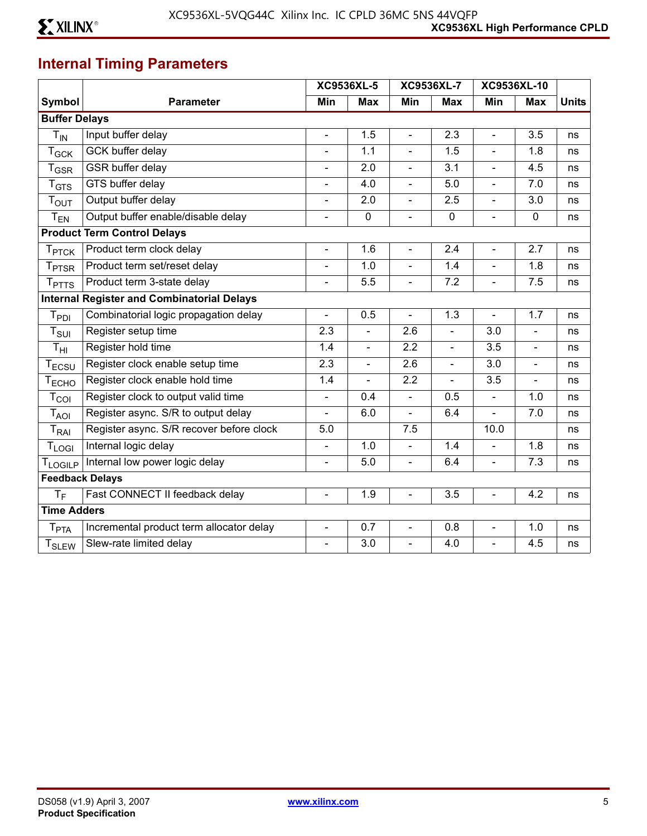## **Internal Timing Parameters**

|                              |                                                   |                              | <b>XC9536XL-5</b>        |                     | XC9536XL-7     | XC9536XL-10              |                          |              |
|------------------------------|---------------------------------------------------|------------------------------|--------------------------|---------------------|----------------|--------------------------|--------------------------|--------------|
| <b>Symbol</b>                | <b>Parameter</b>                                  | Min                          | <b>Max</b>               | Min                 | <b>Max</b>     | Min                      | <b>Max</b>               | <b>Units</b> |
| <b>Buffer Delays</b>         |                                                   |                              |                          |                     |                |                          |                          |              |
| $T_{IN}$                     | Input buffer delay                                | $\blacksquare$               | 1.5                      | $\bar{\phantom{a}}$ | 2.3            | $\blacksquare$           | 3.5                      | ns           |
| $T_{GCK}$                    | GCK buffer delay                                  | $\blacksquare$               | 1.1                      | $\blacksquare$      | 1.5            | $\blacksquare$           | 1.8                      | ns           |
| $T_{\text{GSR}}$             | GSR buffer delay                                  | ä,                           | 2.0                      | $\blacksquare$      | 3.1            | $\blacksquare$           | 4.5                      | ns           |
| T <sub>GTS</sub>             | GTS buffer delay                                  | $\blacksquare$               | 4.0                      | $\blacksquare$      | 5.0            | $\overline{\phantom{a}}$ | 7.0                      | ns           |
| $T_{\text{OUT}}$             | Output buffer delay                               | $\qquad \qquad \blacksquare$ | 2.0                      | $\blacksquare$      | 2.5            |                          | 3.0                      | ns           |
| $T_{EN}$                     | Output buffer enable/disable delay                | $\blacksquare$               | $\mathbf 0$              | $\overline{a}$      | 0              | $\blacksquare$           | $\mathbf 0$              | ns           |
|                              | <b>Product Term Control Delays</b>                |                              |                          |                     |                |                          |                          |              |
| <b>T</b> <sub>PTCK</sub>     | Product term clock delay                          | $\overline{a}$               | 1.6                      | $\blacksquare$      | 2.4            | $\blacksquare$           | 2.7                      | ns           |
| $T_{\footnotesize \rm PTSR}$ | Product term set/reset delay                      | $\blacksquare$               | 1.0                      | $\blacksquare$      | 1.4            | $\overline{\phantom{a}}$ | 1.8                      | ns           |
| <b>TPTTS</b>                 | Product term 3-state delay                        | $\blacksquare$               | 5.5                      | $\blacksquare$      | 7.2            | $\blacksquare$           | 7.5                      | ns           |
|                              | <b>Internal Register and Combinatorial Delays</b> |                              |                          |                     |                |                          |                          |              |
| $\mathsf{T}_{\mathsf{PDI}}$  | Combinatorial logic propagation delay             | $\overline{a}$               | 0.5                      | $\blacksquare$      | 1.3            | $\blacksquare$           | 1.7                      | ns           |
| $T_{\rm SUI}$                | Register setup time                               | 2.3                          | $\bar{\phantom{a}}$      | 2.6                 | $\overline{a}$ | 3.0                      | $\overline{\phantom{a}}$ | ns           |
| $T_{\rm HI}$                 | Register hold time                                | 1.4                          | $\blacksquare$           | 2.2                 | ä,             | 3.5                      | $\blacksquare$           | ns           |
| $T_{ECSU}$                   | Register clock enable setup time                  | 2.3                          | $\overline{\phantom{a}}$ | 2.6                 | ÷,             | 3.0                      | $\overline{\phantom{0}}$ | ns           |
| T <sub>ECHO</sub>            | Register clock enable hold time                   | 1.4                          | $\sim$                   | 2.2                 | L.             | 3.5                      | $\blacksquare$           | ns           |
| $T_{COI}$                    | Register clock to output valid time               | $\blacksquare$               | 0.4                      | $\blacksquare$      | 0.5            | $\blacksquare$           | 1.0                      | ns           |
| $T_{AOI}$                    | Register async. S/R to output delay               | $\overline{a}$               | 6.0                      | $\overline{a}$      | 6.4            |                          | 7.0                      | ns           |
| T <sub>RAI</sub>             | Register async. S/R recover before clock          | 5.0                          |                          | 7.5                 |                | 10.0                     |                          | ns           |
| $T_{LOGI}$                   | Internal logic delay                              | $\blacksquare$               | 1.0                      | $\blacksquare$      | 1.4            |                          | 1.8                      | ns           |
| T <sub>LOGILP</sub>          | Internal low power logic delay                    | $\blacksquare$               | 5.0                      | $\blacksquare$      | 6.4            | $\blacksquare$           | 7.3                      | ns           |
|                              | <b>Feedback Delays</b>                            |                              |                          |                     |                |                          |                          |              |
| $T_F$                        | Fast CONNECT II feedback delay                    | $\overline{a}$               | 1.9                      | ä,                  | 3.5            | $\frac{1}{2}$            | 4.2                      | ns           |
| <b>Time Adders</b>           |                                                   |                              |                          |                     |                |                          |                          |              |
| $T_{\sf PTA}$                | Incremental product term allocator delay          | $\blacksquare$               | 0.7                      | $\blacksquare$      | 0.8            | $\blacksquare$           | 1.0                      | ns           |
| <b>T</b> <sub>SLEW</sub>     | Slew-rate limited delay                           | $\blacksquare$               | 3.0                      | $\blacksquare$      | 4.0            | $\blacksquare$           | 4.5                      | ns           |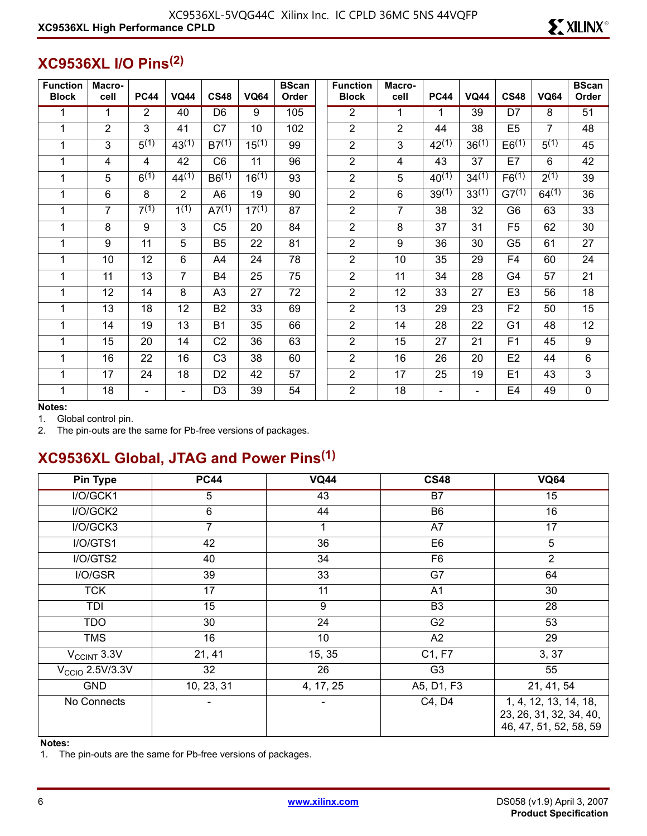## **XC9536XL I/O Pins(2)**

| <b>Function</b><br><b>Block</b> | Macro-<br>cell | <b>PC44</b>              | <b>VQ44</b>              | <b>CS48</b>    | <b>VQ64</b> | <b>BScan</b><br>Order | <b>Function</b><br><b>Block</b> | Macro-<br>cell | <b>PC44</b> | <b>VQ44</b> | <b>CS48</b>    | <b>VQ64</b>    | <b>BScan</b><br>Order |
|---------------------------------|----------------|--------------------------|--------------------------|----------------|-------------|-----------------------|---------------------------------|----------------|-------------|-------------|----------------|----------------|-----------------------|
| 1                               | 1              | $\overline{2}$           | 40                       | D <sub>6</sub> | 9           | 105                   | $\overline{2}$                  | 1              | 1           | 39          | D7             | 8              | 51                    |
| 1                               | $\overline{2}$ | 3                        | 41                       | C <sub>7</sub> | 10          | 102                   | $\overline{2}$                  | $\overline{2}$ | 44          | 38          | E <sub>5</sub> | $\overline{7}$ | 48                    |
|                                 | 3              | $5^{(1)}$                | $43^{(1)}$               | $B7^{(1)}$     | $15^{(1)}$  | 99                    | $\overline{2}$                  | 3              | $42^{(1)}$  | $36^{(1)}$  | $E6^{(1)}$     | 5(1)           | 45                    |
|                                 | 4              | 4                        | 42                       | C <sub>6</sub> | 11          | 96                    | $\overline{2}$                  | 4              | 43          | 37          | E7             | 6              | 42                    |
|                                 | 5              | 6(1)                     | 44(1)                    | $B6^{(1)}$     | $16^{(1)}$  | 93                    | $\overline{2}$                  | 5              | $40^{(1)}$  | $34^{(1)}$  | $F6^{(1)}$     | $2^{(1)}$      | 39                    |
| 1                               | 6              | 8                        | $\overline{2}$           | A6             | 19          | 90                    | $\overline{2}$                  | 6              | $39^{(1)}$  | $33^{(1)}$  | $G7^{(1)}$     | $64^{(1)}$     | 36                    |
| 1                               | 7              | 7(1)                     | 1(1)                     | $A7^{(1)}$     | $17^{(1)}$  | 87                    | $\overline{2}$                  | 7              | 38          | 32          | G6             | 63             | 33                    |
| 1                               | 8              | 9                        | 3                        | C <sub>5</sub> | 20          | 84                    | $\overline{2}$                  | 8              | 37          | 31          | F <sub>5</sub> | 62             | 30                    |
| 1                               | 9              | 11                       | 5                        | B <sub>5</sub> | 22          | 81                    | $\overline{2}$                  | 9              | 36          | 30          | G <sub>5</sub> | 61             | 27                    |
| 1                               | 10             | 12 <sub>2</sub>          | 6                        | A4             | 24          | 78                    | $\overline{2}$                  | 10             | 35          | 29          | F4             | 60             | 24                    |
| 1                               | 11             | 13                       | 7                        | B4             | 25          | 75                    | $\overline{2}$                  | 11             | 34          | 28          | G4             | 57             | 21                    |
|                                 | 12             | 14                       | 8                        | A <sub>3</sub> | 27          | 72                    | $\overline{2}$                  | 12             | 33          | 27          | E <sub>3</sub> | 56             | 18                    |
|                                 | 13             | 18                       | 12                       | B <sub>2</sub> | 33          | 69                    | 2                               | 13             | 29          | 23          | F <sub>2</sub> | 50             | 15                    |
| 1                               | 14             | 19                       | 13                       | <b>B1</b>      | 35          | 66                    | $\overline{2}$                  | 14             | 28          | 22          | G1             | 48             | 12                    |
| 1                               | 15             | 20                       | 14                       | C <sub>2</sub> | 36          | 63                    | $\overline{2}$                  | 15             | 27          | 21          | F <sub>1</sub> | 45             | 9                     |
| 1                               | 16             | 22                       | 16                       | C <sub>3</sub> | 38          | 60                    | $\overline{2}$                  | 16             | 26          | 20          | E <sub>2</sub> | 44             | 6                     |
|                                 | 17             | 24                       | 18                       | D <sub>2</sub> | 42          | 57                    | $\overline{2}$                  | 17             | 25          | 19          | E1             | 43             | 3                     |
| 1                               | 18             | $\overline{\phantom{a}}$ | $\overline{\phantom{a}}$ | D <sub>3</sub> | 39          | 54                    | $\overline{2}$                  | 18             | -           | -           | E4             | 49             | 0                     |

#### **Notes:**

1. Global control pin.

2. The pin-outs are the same for Pb-free versions of packages.

#### **XC9536XL Global, JTAG and Power Pins(1)**

| <b>Pin Type</b>             | <b>PC44</b>    | <b>VQ44</b> | <b>CS48</b>    | <b>VQ64</b>                                                                |
|-----------------------------|----------------|-------------|----------------|----------------------------------------------------------------------------|
| I/O/GCK1                    | $\overline{5}$ | 43          | B7             | 15                                                                         |
| I/O/GCK2                    | 6              | 44          | B <sub>6</sub> | 16                                                                         |
| I/O/GCK3                    | $\overline{7}$ | 1           | A7             | 17                                                                         |
| I/O/GTS1                    | 42             | 36          | E <sub>6</sub> | 5                                                                          |
| I/O/GTS2                    | 40             | 34          | F <sub>6</sub> | $\overline{2}$                                                             |
| I/O/GSR                     | 39             | 33          | G7             | 64                                                                         |
| <b>TCK</b>                  | 17             | 11          | A1             | 30                                                                         |
| TDI                         | 15             | 9           | B <sub>3</sub> | 28                                                                         |
| <b>TDO</b>                  | 30             | 24          | G <sub>2</sub> | 53                                                                         |
| <b>TMS</b>                  | 16             | 10          | A2             | 29                                                                         |
| $V_{CClNT}$ 3.3V            | 21, 41         | 15, 35      | C1, F7         | 3, 37                                                                      |
| V <sub>CCIO</sub> 2.5V/3.3V | 32             | 26          | G <sub>3</sub> | 55                                                                         |
| <b>GND</b>                  | 10, 23, 31     | 4, 17, 25   | A5, D1, F3     | 21, 41, 54                                                                 |
| No Connects                 |                |             | C4, D4         | 1, 4, 12, 13, 14, 18,<br>23, 26, 31, 32, 34, 40,<br>46, 47, 51, 52, 58, 59 |

#### **Notes:**

1. The pin-outs are the same for Pb-free versions of packages.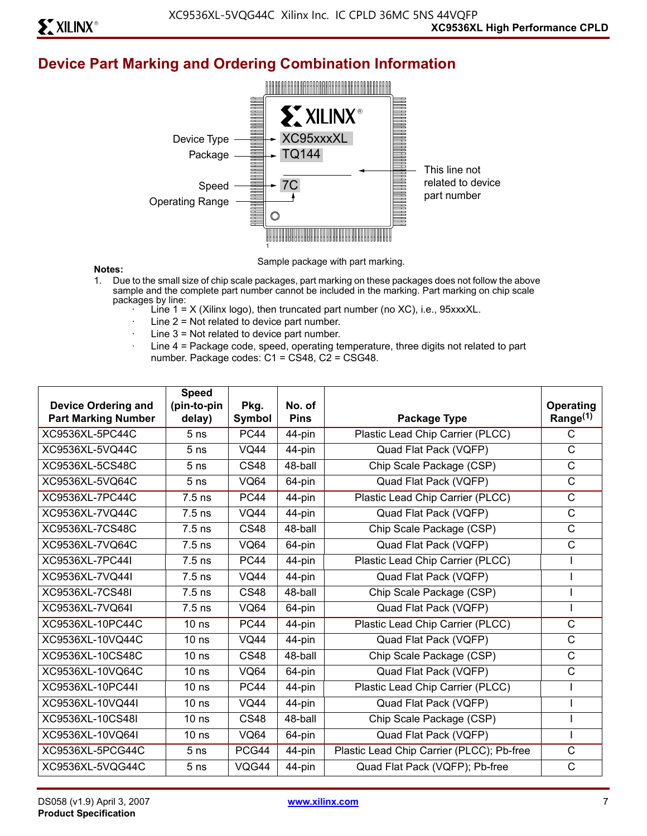#### **Device Part Marking and Ordering Combination Information**



#### **Notes:**

Sample package with part marking.

- 1. Due to the small size of chip scale packages, part marking on these packages does not follow the above sample and the complete part number cannot be included in the marking. Part marking on chip scale packages by line:
	- Line  $1 = X$  (Xilinx logo), then truncated part number (no XC), i.e., 95xxxXL.
		- Line  $2$  = Not related to device part number.
		- · Line 3 = Not related to device part number.
		- $\cdot$  Line 4 = Package code, speed, operating temperature, three digits not related to part number. Package codes: C1 = CS48, C2 = CSG48.

| <b>Device Ordering and</b><br><b>Part Marking Number</b> | <b>Speed</b><br>(pin-to-pin<br>delay) | Pkg.<br>Symbol | No. of<br><b>Pins</b> | Package Type                              | <b>Operating</b><br>Range <sup>(1)</sup> |
|----------------------------------------------------------|---------------------------------------|----------------|-----------------------|-------------------------------------------|------------------------------------------|
| XC9536XL-5PC44C                                          | 5 <sub>ns</sub>                       | <b>PC44</b>    | 44-pin                | Plastic Lead Chip Carrier (PLCC)          | C                                        |
| XC9536XL-5VQ44C                                          | 5 <sub>ns</sub>                       | <b>VQ44</b>    | 44-pin                | Quad Flat Pack (VQFP)                     | $\mathsf{C}$                             |
| XC9536XL-5CS48C                                          | 5 <sub>ns</sub>                       | <b>CS48</b>    | 48-ball               | Chip Scale Package (CSP)                  | C                                        |
| XC9536XL-5VQ64C                                          | 5 <sub>ns</sub>                       | <b>VQ64</b>    | 64-pin                | Quad Flat Pack (VQFP)                     | $\mathsf{C}$                             |
| XC9536XL-7PC44C                                          | $7.5$ ns                              | <b>PC44</b>    | 44-pin                | Plastic Lead Chip Carrier (PLCC)          | $\mathsf{C}$                             |
| XC9536XL-7VQ44C                                          | $7.5$ ns                              | <b>VQ44</b>    | 44-pin                | Quad Flat Pack (VQFP)                     | $\mathsf C$                              |
| XC9536XL-7CS48C                                          | $7.5$ ns                              | <b>CS48</b>    | 48-ball               | Chip Scale Package (CSP)                  | $\mathsf{C}$                             |
| XC9536XL-7VQ64C                                          | $7.5$ ns                              | <b>VQ64</b>    | 64-pin                | Quad Flat Pack (VQFP)                     | $\mathsf{C}$                             |
| XC9536XL-7PC44I                                          | $7.5$ ns                              | <b>PC44</b>    | 44-pin                | Plastic Lead Chip Carrier (PLCC)          |                                          |
| XC9536XL-7VQ44I                                          | $7.5$ ns                              | <b>VQ44</b>    | 44-pin                | Quad Flat Pack (VQFP)                     |                                          |
| XC9536XL-7CS48I                                          | $7.5$ ns                              | <b>CS48</b>    | 48-ball               | Chip Scale Package (CSP)                  |                                          |
| XC9536XL-7VQ64I                                          | $7.5$ ns                              | <b>VQ64</b>    | 64-pin                | Quad Flat Pack (VQFP)                     |                                          |
| XC9536XL-10PC44C                                         | 10 <sub>ns</sub>                      | <b>PC44</b>    | 44-pin                | Plastic Lead Chip Carrier (PLCC)          | C                                        |
| XC9536XL-10VQ44C                                         | 10 <sub>ns</sub>                      | <b>VQ44</b>    | 44-pin                | Quad Flat Pack (VQFP)                     | $\mathsf{C}$                             |
| XC9536XL-10CS48C                                         | 10 <sub>ns</sub>                      | <b>CS48</b>    | 48-ball               | Chip Scale Package (CSP)                  | С                                        |
| XC9536XL-10VQ64C                                         | 10 <sub>ns</sub>                      | <b>VQ64</b>    | 64-pin                | Quad Flat Pack (VQFP)                     | C                                        |
| XC9536XL-10PC44I                                         | 10 <sub>ns</sub>                      | <b>PC44</b>    | 44-pin                | Plastic Lead Chip Carrier (PLCC)          |                                          |
| XC9536XL-10VQ44I                                         | 10 <sub>ns</sub>                      | <b>VQ44</b>    | 44-pin                | Quad Flat Pack (VQFP)                     |                                          |
| XC9536XL-10CS48I                                         | 10 <sub>ns</sub>                      | <b>CS48</b>    | 48-ball               | Chip Scale Package (CSP)                  |                                          |
| XC9536XL-10VQ64I                                         | 10 <sub>ns</sub>                      | <b>VQ64</b>    | 64-pin                | Quad Flat Pack (VQFP)                     |                                          |
| XC9536XL-5PCG44C                                         | 5 <sub>ns</sub>                       | PCG44          | 44-pin                | Plastic Lead Chip Carrier (PLCC); Pb-free | $\mathsf{C}$                             |
| XC9536XL-5VQG44C                                         | 5 <sub>ns</sub>                       | VQG44          | 44-pin                | Quad Flat Pack (VQFP); Pb-free            | $\mathsf{C}$                             |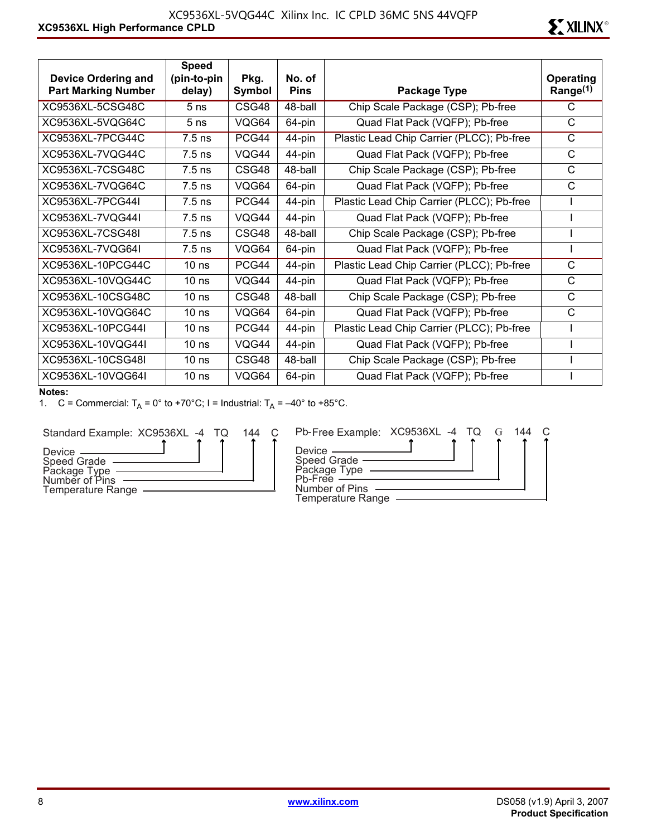| <b>Device Ordering and</b><br><b>Part Marking Number</b> | <b>Speed</b><br>(pin-to-pin<br>delay) | Pkg.<br>Symbol | No. of<br><b>Pins</b> | Package Type                              | Operating<br>Range $(1)$ |
|----------------------------------------------------------|---------------------------------------|----------------|-----------------------|-------------------------------------------|--------------------------|
| XC9536XL-5CSG48C                                         | 5 <sub>ns</sub>                       | CSG48          | 48-ball               | Chip Scale Package (CSP); Pb-free         | C                        |
| XC9536XL-5VQG64C                                         | 5 <sub>ns</sub>                       | VQG64          | 64-pin                | Quad Flat Pack (VQFP); Pb-free            | C                        |
| XC9536XL-7PCG44C                                         | $7.5$ ns                              | PCG44          | 44-pin                | Plastic Lead Chip Carrier (PLCC); Pb-free | C                        |
| XC9536XL-7VQG44C                                         | $7.5$ ns                              | VQG44          | 44-pin                | Quad Flat Pack (VQFP); Pb-free            | C                        |
| XC9536XL-7CSG48C                                         | $7.5$ ns                              | CSG48          | 48-ball               | Chip Scale Package (CSP); Pb-free         | C                        |
| XC9536XL-7VQG64C                                         | $7.5$ ns                              | VQG64          | 64-pin                | Quad Flat Pack (VQFP); Pb-free            | С                        |
| XC9536XL-7PCG44I                                         | $7.5$ ns                              | PCG44          | 44-pin                | Plastic Lead Chip Carrier (PLCC); Pb-free |                          |
| XC9536XL-7VQG44I                                         | $7.5$ ns                              | VQG44          | 44-pin                | Quad Flat Pack (VQFP); Pb-free            |                          |
| XC9536XL-7CSG48I                                         | $7.5$ ns                              | CSG48          | 48-ball               | Chip Scale Package (CSP); Pb-free         |                          |
| XC9536XL-7VQG64I                                         | $7.5$ ns                              | VQG64          | 64-pin                | Quad Flat Pack (VQFP); Pb-free            |                          |
| XC9536XL-10PCG44C                                        | 10 <sub>ns</sub>                      | PCG44          | 44-pin                | Plastic Lead Chip Carrier (PLCC); Pb-free | C                        |
| XC9536XL-10VQG44C                                        | 10 <sub>ns</sub>                      | VQG44          | 44-pin                | Quad Flat Pack (VQFP); Pb-free            | C                        |
| XC9536XL-10CSG48C                                        | 10 <sub>ns</sub>                      | CSG48          | 48-ball               | Chip Scale Package (CSP); Pb-free         | C                        |
| XC9536XL-10VQG64C                                        | 10 <sub>ns</sub>                      | VQG64          | 64-pin                | Quad Flat Pack (VQFP); Pb-free            | C                        |
| XC9536XL-10PCG44I                                        | 10 <sub>ns</sub>                      | PCG44          | 44-pin                | Plastic Lead Chip Carrier (PLCC); Pb-free |                          |
| XC9536XL-10VQG44I                                        | 10 <sub>ns</sub>                      | VQG44          | 44-pin                | Quad Flat Pack (VQFP); Pb-free            |                          |
| XC9536XL-10CSG48I                                        | 10 <sub>ns</sub>                      | CSG48          | 48-ball               | Chip Scale Package (CSP); Pb-free         |                          |
| XC9536XL-10VQG64I                                        | 10 <sub>ns</sub>                      | VQG64          | 64-pin                | Quad Flat Pack (VQFP); Pb-free            |                          |

#### **Notes:**

1. C = Commercial:  $T_A = 0^\circ$  to +70°C; I = Industrial:  $T_A = -40^\circ$  to +85°C.

| Standard Example: XC9536XL -4                                                                | 144 |
|----------------------------------------------------------------------------------------------|-----|
| Device -<br><b>Speed Grade</b><br>Package Type<br>Number of Pins<br><b>Temperature Range</b> |     |
|                                                                                              |     |

| -4 | 144 | Pb-Free Example: XC9536XL -4 TQ                                                                                                                                                  |  | 144 |  |
|----|-----|----------------------------------------------------------------------------------------------------------------------------------------------------------------------------------|--|-----|--|
|    |     | Device ——————<br>Speed Grade - The Changes of Speed Grade - The Changes of Speed Grade - The Changes of Speed Speed Speed Speed<br>Package Type ——————<br>$Pb$ -Free $\_\_\_\_\$ |  |     |  |
|    |     | Number of Pins ——                                                                                                                                                                |  |     |  |
|    |     | Temperature Range                                                                                                                                                                |  |     |  |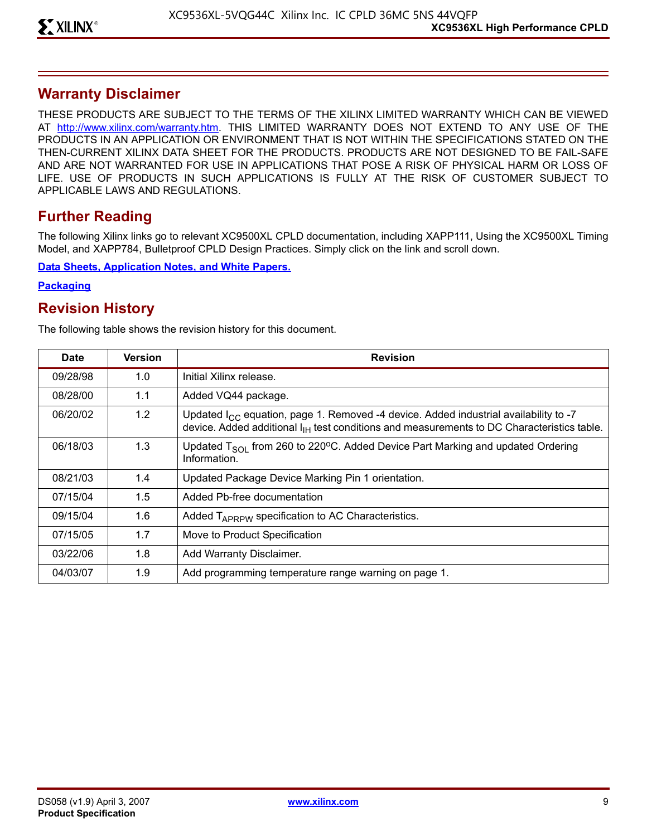#### **Warranty Disclaimer**

THESE PRODUCTS ARE SUBJECT TO THE TERMS OF THE XILINX LIMITED WARRANTY WHICH CAN BE VIEWED AT [http://www.xilinx.com/warranty.htm.](http://www.xilinx.com/warranty.htm) THIS LIMITED WARRANTY DOES NOT EXTEND TO ANY USE OF THE PRODUCTS IN AN APPLICATION OR ENVIRONMENT THAT IS NOT WITHIN THE SPECIFICATIONS STATED ON THE THEN-CURRENT XILINX DATA SHEET FOR THE PRODUCTS. PRODUCTS ARE NOT DESIGNED TO BE FAIL-SAFE AND ARE NOT WARRANTED FOR USE IN APPLICATIONS THAT POSE A RISK OF PHYSICAL HARM OR LOSS OF LIFE. USE OF PRODUCTS IN SUCH APPLICATIONS IS FULLY AT THE RISK OF CUSTOMER SUBJECT TO APPLICABLE LAWS AND REGULATIONS.

#### **Further Reading**

The following Xilinx links go to relevant XC9500XL CPLD documentation, including XAPP111, Using the XC9500XL Timing Model, and XAPP784, Bulletproof CPLD Design Practices. Simply click on the link and scroll down.

**[Data Sheets, Application Notes, and White Papers.](http://www.xilinx.com/xlnx/xweb/xil_publications_display.jsp?sGlobalNavPick=&sSecondaryNavPick=&category=-19216&iLanguageID=1)**

#### **[Packaging](http://www.xilinx.com/xlnx/xweb/xil_publications_index.jsp?sGlobalNavPick=&sSecondaryNavPick=&category=-19166&iLanguageID=1)**

#### **Revision History**

The following table shows the revision history for this document.

| Date     | <b>Version</b> | <b>Revision</b>                                                                                                                                                                                 |
|----------|----------------|-------------------------------------------------------------------------------------------------------------------------------------------------------------------------------------------------|
| 09/28/98 | 1.0            | Initial Xilinx release.                                                                                                                                                                         |
| 08/28/00 | 1.1            | Added VQ44 package.                                                                                                                                                                             |
| 06/20/02 | 1.2            | Updated $I_{\rm CC}$ equation, page 1. Removed -4 device. Added industrial availability to -7<br>device. Added additional $I_{H}$ test conditions and measurements to DC Characteristics table. |
| 06/18/03 | 1.3            | Updated $T_{\text{SOI}}$ from 260 to 220 °C. Added Device Part Marking and updated Ordering<br>Information.                                                                                     |
| 08/21/03 | 1.4            | Updated Package Device Marking Pin 1 orientation.                                                                                                                                               |
| 07/15/04 | 1.5            | Added Pb-free documentation                                                                                                                                                                     |
| 09/15/04 | 1.6            | Added T <sub>APRPW</sub> specification to AC Characteristics.                                                                                                                                   |
| 07/15/05 | 1.7            | Move to Product Specification                                                                                                                                                                   |
| 03/22/06 | 1.8            | Add Warranty Disclaimer.                                                                                                                                                                        |
| 04/03/07 | 1.9            | Add programming temperature range warning on page 1.                                                                                                                                            |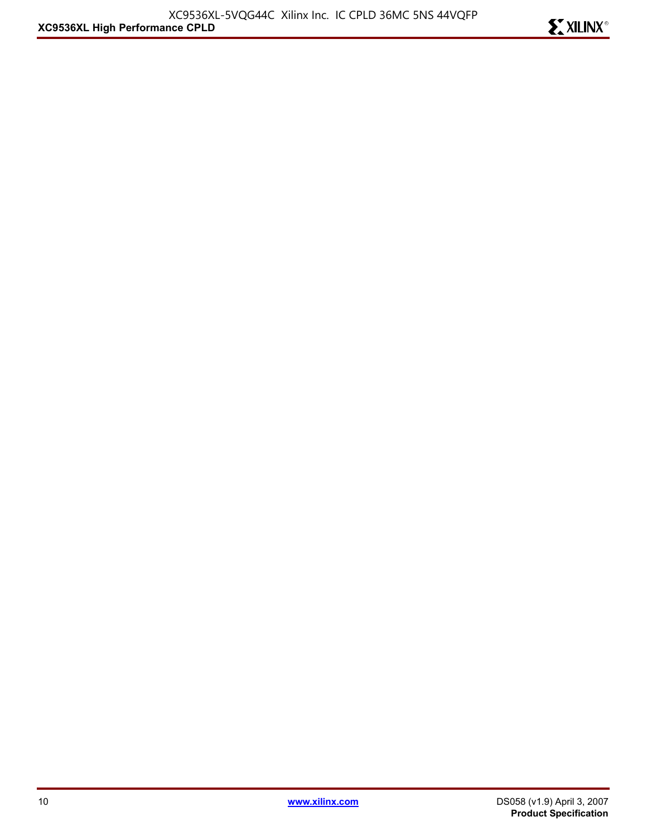